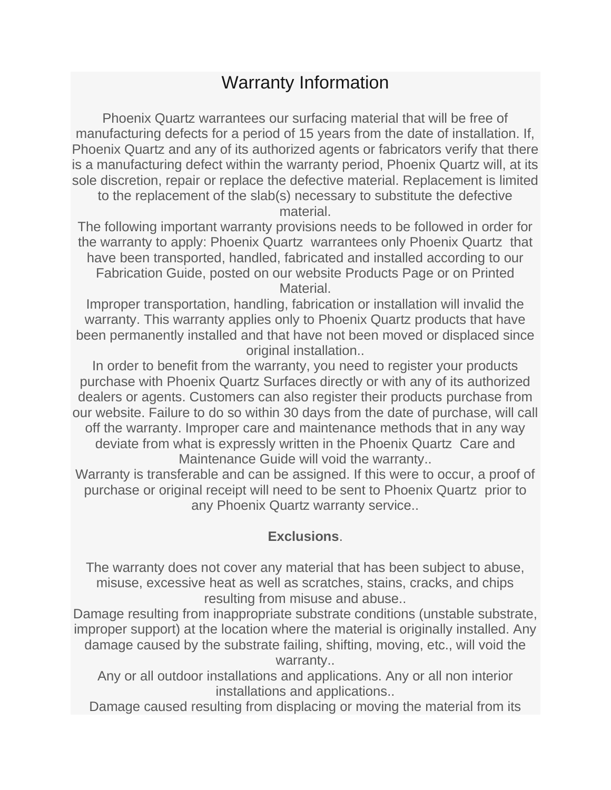## Warranty Information

Phoenix Quartz warrantees our surfacing material that will be free of manufacturing defects for a period of 15 years from the date of installation. If, Phoenix Quartz and any of its authorized agents or fabricators verify that there is a manufacturing defect within the warranty period, Phoenix Quartz will, at its sole discretion, repair or replace the defective material. Replacement is limited

to the replacement of the slab(s) necessary to substitute the defective material.

The following important warranty provisions needs to be followed in order for the warranty to apply: Phoenix Quartz warrantees only Phoenix Quartz that have been transported, handled, fabricated and installed according to our Fabrication Guide, posted on our website Products Page or on Printed Material.

Improper transportation, handling, fabrication or installation will invalid the warranty. This warranty applies only to Phoenix Quartz products that have been permanently installed and that have not been moved or displaced since original installation..

In order to benefit from the warranty, you need to register your products purchase with Phoenix Quartz Surfaces directly or with any of its authorized dealers or agents. Customers can also register their products purchase from our website. Failure to do so within 30 days from the date of purchase, will call off the warranty. Improper care and maintenance methods that in any way deviate from what is expressly written in the Phoenix Quartz Care and Maintenance Guide will void the warranty..

Warranty is transferable and can be assigned. If this were to occur, a proof of purchase or original receipt will need to be sent to Phoenix Quartz prior to any Phoenix Quartz warranty service..

## **Exclusions**.

The warranty does not cover any material that has been subject to abuse, misuse, excessive heat as well as scratches, stains, cracks, and chips resulting from misuse and abuse..

Damage resulting from inappropriate substrate conditions (unstable substrate, improper support) at the location where the material is originally installed. Any damage caused by the substrate failing, shifting, moving, etc., will void the warranty..

Any or all outdoor installations and applications. Any or all non interior installations and applications..

Damage caused resulting from displacing or moving the material from its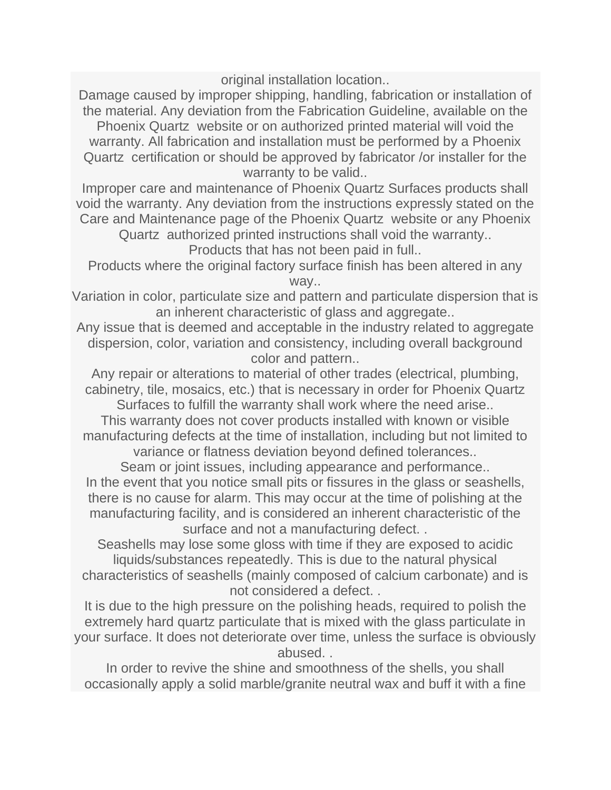original installation location..

Damage caused by improper shipping, handling, fabrication or installation of the material. Any deviation from the Fabrication Guideline, available on the Phoenix Quartz website or on authorized printed material will void the warranty. All fabrication and installation must be performed by a Phoenix Quartz certification or should be approved by fabricator /or installer for the warranty to be valid..

Improper care and maintenance of Phoenix Quartz Surfaces products shall void the warranty. Any deviation from the instructions expressly stated on the Care and Maintenance page of the Phoenix Quartz website or any Phoenix

Quartz authorized printed instructions shall void the warranty.. Products that has not been paid in full..

Products where the original factory surface finish has been altered in any way..

Variation in color, particulate size and pattern and particulate dispersion that is an inherent characteristic of glass and aggregate..

Any issue that is deemed and acceptable in the industry related to aggregate dispersion, color, variation and consistency, including overall background color and pattern..

Any repair or alterations to material of other trades (electrical, plumbing, cabinetry, tile, mosaics, etc.) that is necessary in order for Phoenix Quartz

Surfaces to fulfill the warranty shall work where the need arise.. This warranty does not cover products installed with known or visible manufacturing defects at the time of installation, including but not limited to

variance or flatness deviation beyond defined tolerances..

Seam or joint issues, including appearance and performance.. In the event that you notice small pits or fissures in the glass or seashells, there is no cause for alarm. This may occur at the time of polishing at the manufacturing facility, and is considered an inherent characteristic of the surface and not a manufacturing defect. .

Seashells may lose some gloss with time if they are exposed to acidic liquids/substances repeatedly. This is due to the natural physical characteristics of seashells (mainly composed of calcium carbonate) and is not considered a defect. .

It is due to the high pressure on the polishing heads, required to polish the extremely hard quartz particulate that is mixed with the glass particulate in your surface. It does not deteriorate over time, unless the surface is obviously abused. .

In order to revive the shine and smoothness of the shells, you shall occasionally apply a solid marble/granite neutral wax and buff it with a fine